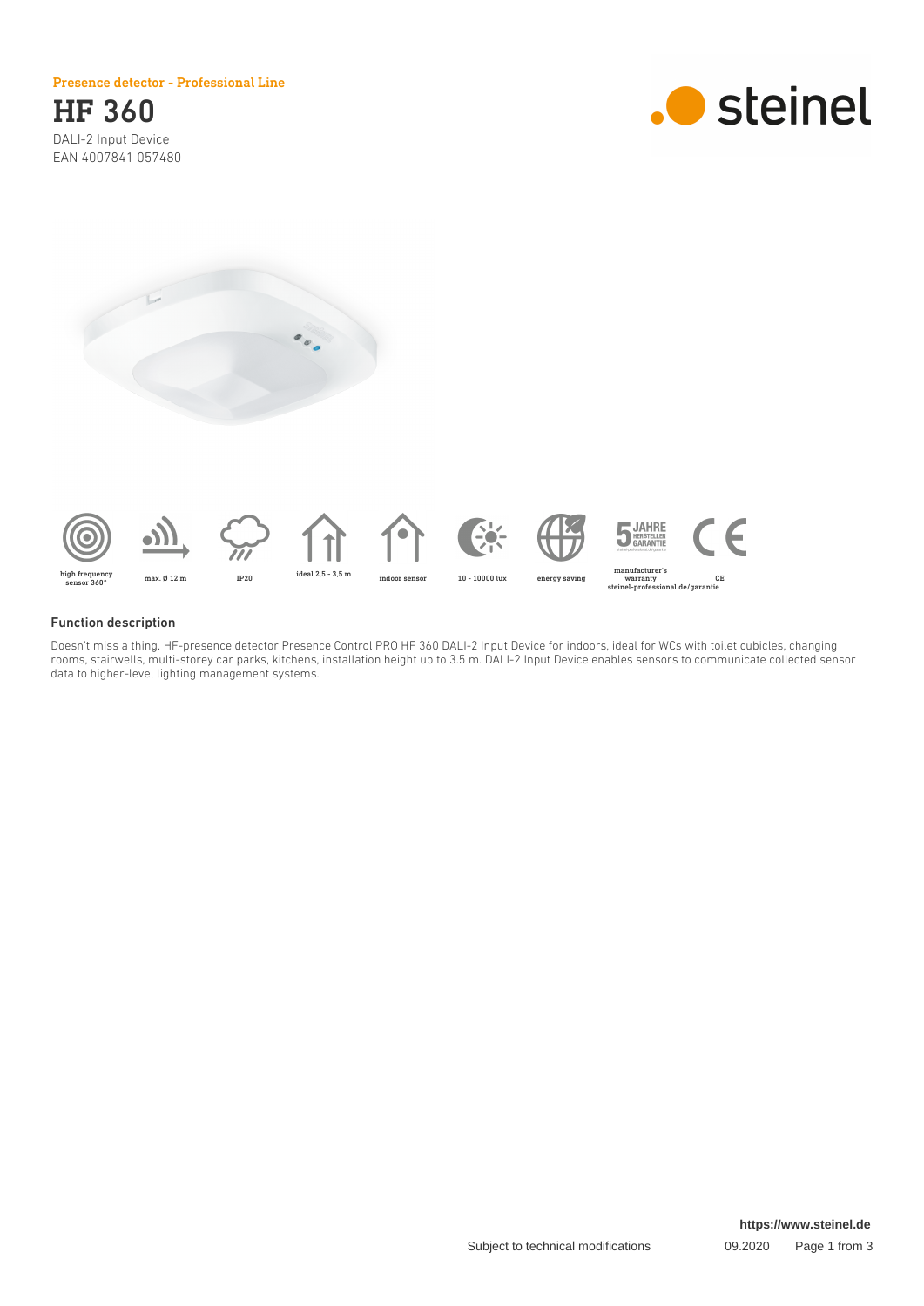### Presence detector - Professional Line

HF 360 DALI-2 Input Device EAN 4007841 057480







## Function description

Doesn't miss a thing. HF-presence detector Presence Control PRO HF 360 DALI-2 Input Device for indoors, ideal for WCs with toilet cubicles, changing rooms, stairwells, multi-storey car parks, kitchens, installation height up to 3.5 m. DALI-2 Input Device enables sensors to communicate collected sensor data to higher-level lighting management systems.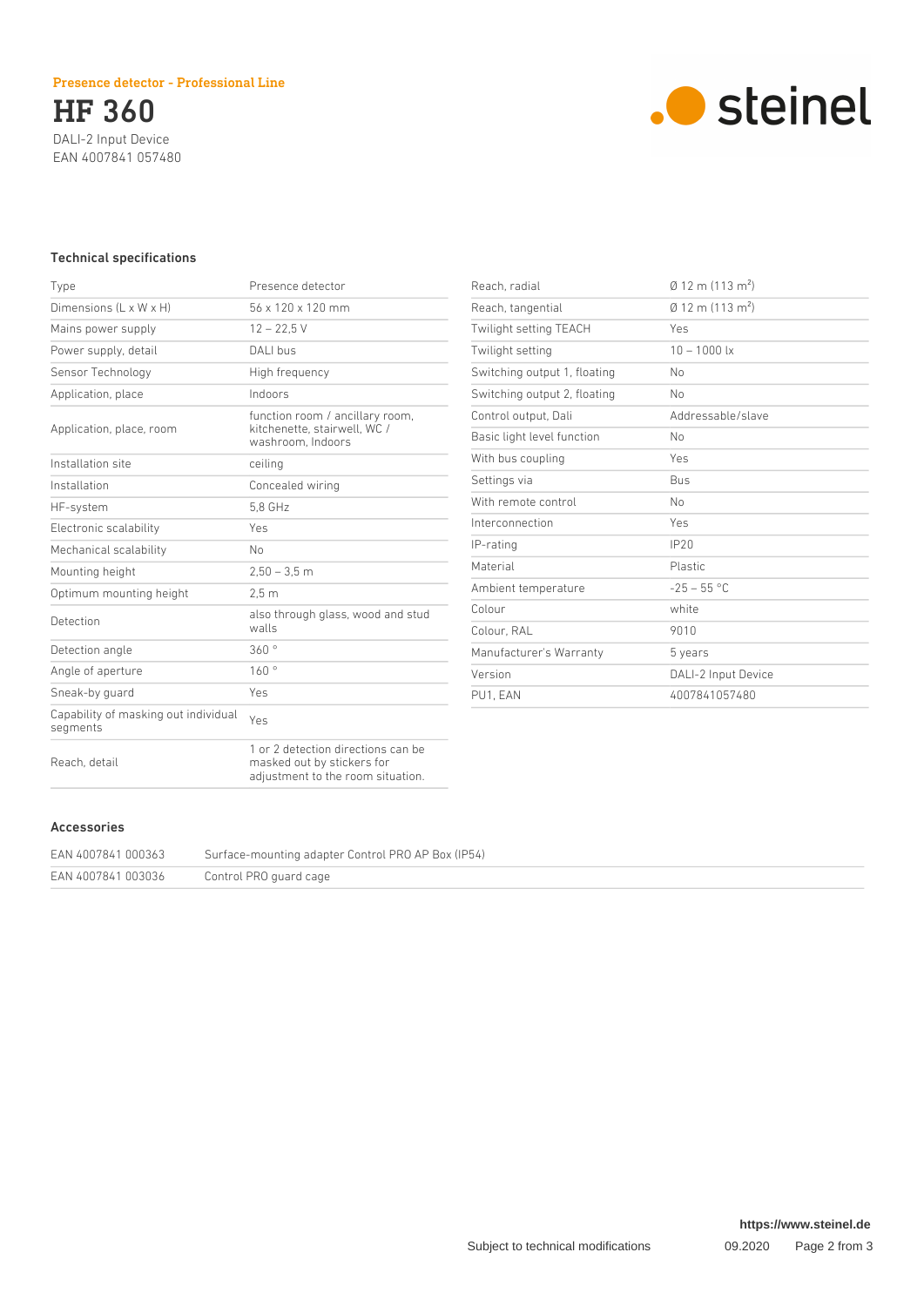HF 360 DALI-2 Input Device EAN 4007841 057480



# Technical specifications

| Type                                             | Presence detector                                                                                     |
|--------------------------------------------------|-------------------------------------------------------------------------------------------------------|
| Dimensions $(L \times W \times H)$               | 56 x 120 x 120 mm                                                                                     |
| Mains power supply                               | $12 - 22.5$ V                                                                                         |
| Power supply, detail                             | DALI bus                                                                                              |
| Sensor Technology                                | High frequency                                                                                        |
| Application, place                               | Indoors                                                                                               |
| Application, place, room                         | function room / ancillary room,<br>kitchenette, stairwell, WC /<br>washroom. Indoors                  |
| Installation site                                | ceiling                                                                                               |
| Installation                                     | Concealed wiring                                                                                      |
| HF-system                                        | 5.8 GHz                                                                                               |
| Electronic scalability                           | Yes                                                                                                   |
| Mechanical scalability                           | No                                                                                                    |
| Mounting height                                  | $2,50 - 3,5$ m                                                                                        |
| Optimum mounting height                          | 2.5 <sub>m</sub>                                                                                      |
| Detection                                        | also through glass, wood and stud<br>walls                                                            |
| Detection angle                                  | 360°                                                                                                  |
| Angle of aperture                                | 160°                                                                                                  |
| Sneak-by quard                                   | Yes                                                                                                   |
| Capability of masking out individual<br>segments | Yes                                                                                                   |
| Reach, detail                                    | 1 or 2 detection directions can be<br>masked out by stickers for<br>adjustment to the room situation. |

| Reach, radial                | $\emptyset$ 12 m (113 m <sup>2</sup> )   |
|------------------------------|------------------------------------------|
| Reach, tangential            | $\varnothing$ 12 m (113 m <sup>2</sup> ) |
| Twilight setting TEACH       | Yes                                      |
| Twilight setting             | $10 - 1000$ lx                           |
| Switching output 1, floating | No                                       |
| Switching output 2, floating | No                                       |
| Control output, Dali         | Addressable/slave                        |
| Basic light level function   | No                                       |
| With bus coupling            | Yes                                      |
| Settings via                 | <b>Bus</b>                               |
| With remote control          | N <sub>0</sub>                           |
| Interconnection              | Yes                                      |
| IP-rating                    | IP20                                     |
| Material                     | <b>Plastic</b>                           |
| Ambient temperature          | $-25 - 55$ °C                            |
| Colour                       | white                                    |
| Colour, RAL                  | 9010                                     |
| Manufacturer's Warranty      | 5 years                                  |
| Version                      | DALI-2 Input Device                      |
| PU1. EAN                     | 4007841057480                            |

# Accessories

| EAN 4007841 000363 | Surface-mounting adapter Control PRO AP Box (IP54) |
|--------------------|----------------------------------------------------|
| EAN 4007841 003036 | Control PRO guard cage                             |